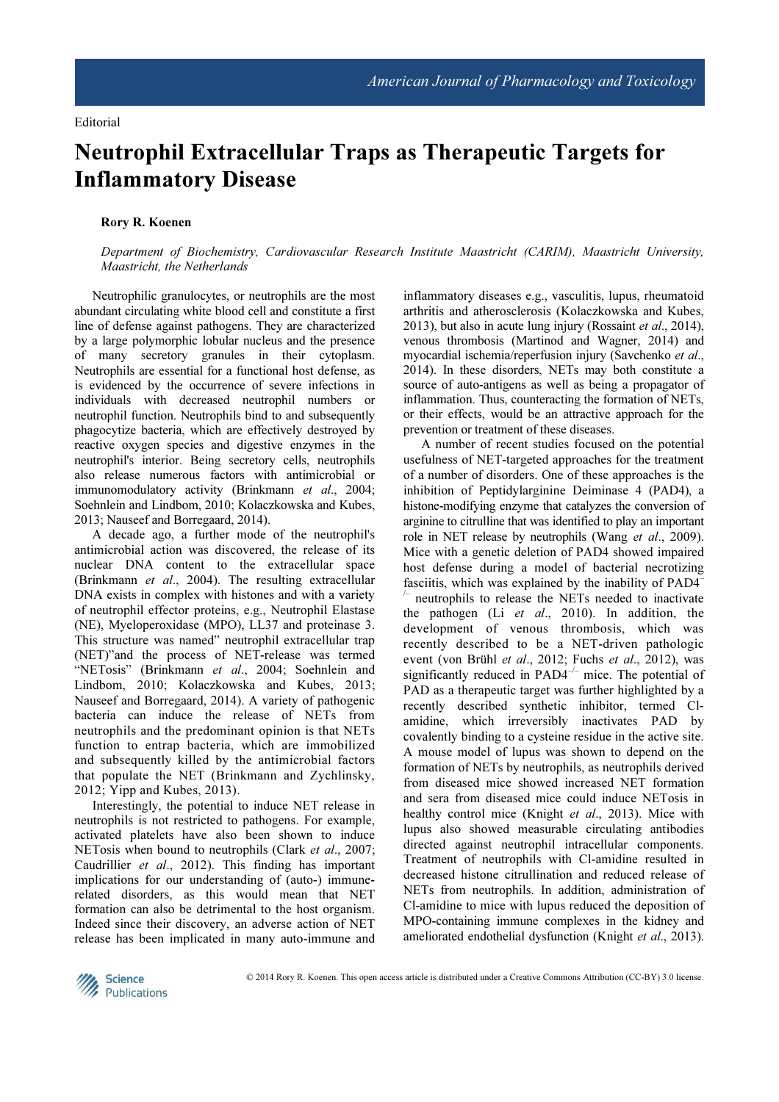# Neutrophil Extracellular Traps as Therapeutic Targets for Inflammatory Disease

## Rory R. Koenen

Department of Biochemistry, Cardiovascular Research Institute Maastricht (CARIM), Maastricht University, Maastricht, the Netherlands

Neutrophilic granulocytes, or neutrophils are the most abundant circulating white blood cell and constitute a first line of defense against pathogens. They are characterized by a large polymorphic lobular nucleus and the presence of many secretory granules in their cytoplasm. Neutrophils are essential for a functional host defense, as is evidenced by the occurrence of severe infections in individuals with decreased neutrophil numbers or neutrophil function. Neutrophils bind to and subsequently phagocytize bacteria, which are effectively destroyed by reactive oxygen species and digestive enzymes in the neutrophil's interior. Being secretory cells, neutrophils also release numerous factors with antimicrobial or immunomodulatory activity (Brinkmann et al., 2004; Soehnlein and Lindbom, 2010; Kolaczkowska and Kubes, 2013; Nauseef and Borregaard, 2014).

A decade ago, a further mode of the neutrophil's antimicrobial action was discovered, the release of its nuclear DNA content to the extracellular space (Brinkmann et al., 2004). The resulting extracellular DNA exists in complex with histones and with a variety of neutrophil effector proteins, e.g., Neutrophil Elastase (NE), Myeloperoxidase (MPO), LL37 and proteinase 3. This structure was named" neutrophil extracellular trap (NET)"and the process of NET-release was termed "NETosis" (Brinkmann et al., 2004; Soehnlein and Lindbom, 2010; Kolaczkowska and Kubes, 2013; Nauseef and Borregaard, 2014). A variety of pathogenic bacteria can induce the release of NETs from neutrophils and the predominant opinion is that NETs function to entrap bacteria, which are immobilized and subsequently killed by the antimicrobial factors that populate the NET (Brinkmann and Zychlinsky, 2012; Yipp and Kubes, 2013).

Interestingly, the potential to induce NET release in neutrophils is not restricted to pathogens. For example, activated platelets have also been shown to induce NETosis when bound to neutrophils (Clark et al., 2007; Caudrillier et al., 2012). This finding has important implications for our understanding of (auto-) immunerelated disorders, as this would mean that NET formation can also be detrimental to the host organism. Indeed since their discovery, an adverse action of NET release has been implicated in many auto-immune and inflammatory diseases e.g., vasculitis, lupus, rheumatoid arthritis and atherosclerosis (Kolaczkowska and Kubes, 2013), but also in acute lung injury (Rossaint et al., 2014), venous thrombosis (Martinod and Wagner, 2014) and myocardial ischemia/reperfusion injury (Savchenko et al., 2014). In these disorders, NETs may both constitute a source of auto-antigens as well as being a propagator of inflammation. Thus, counteracting the formation of NETs, or their effects, would be an attractive approach for the prevention or treatment of these diseases.

A number of recent studies focused on the potential usefulness of NET-targeted approaches for the treatment of a number of disorders. One of these approaches is the inhibition of Peptidylarginine Deiminase 4 (PAD4), a histone-modifying enzyme that catalyzes the conversion of arginine to citrulline that was identified to play an important role in NET release by neutrophils (Wang et al., 2009). Mice with a genetic deletion of PAD4 showed impaired host defense during a model of bacterial necrotizing fasciitis, which was explained by the inability of PAD4–

 $\sim$  neutrophils to release the NETs needed to inactivate the pathogen (Li  $et$  al., 2010). In addition, the development of venous thrombosis, which was recently described to be a NET-driven pathologic event (von Brühl et al., 2012; Fuchs et al., 2012), was significantly reduced in  $PAD4^{-/-}$  mice. The potential of PAD as a therapeutic target was further highlighted by a recently described synthetic inhibitor, termed Clamidine, which irreversibly inactivates PAD by covalently binding to a cysteine residue in the active site. A mouse model of lupus was shown to depend on the formation of NETs by neutrophils, as neutrophils derived from diseased mice showed increased NET formation and sera from diseased mice could induce NETosis in healthy control mice (Knight et al., 2013). Mice with lupus also showed measurable circulating antibodies directed against neutrophil intracellular components. Treatment of neutrophils with Cl-amidine resulted in decreased histone citrullination and reduced release of NETs from neutrophils. In addition, administration of Cl-amidine to mice with lupus reduced the deposition of MPO-containing immune complexes in the kidney and ameliorated endothelial dysfunction (Knight et al., 2013).

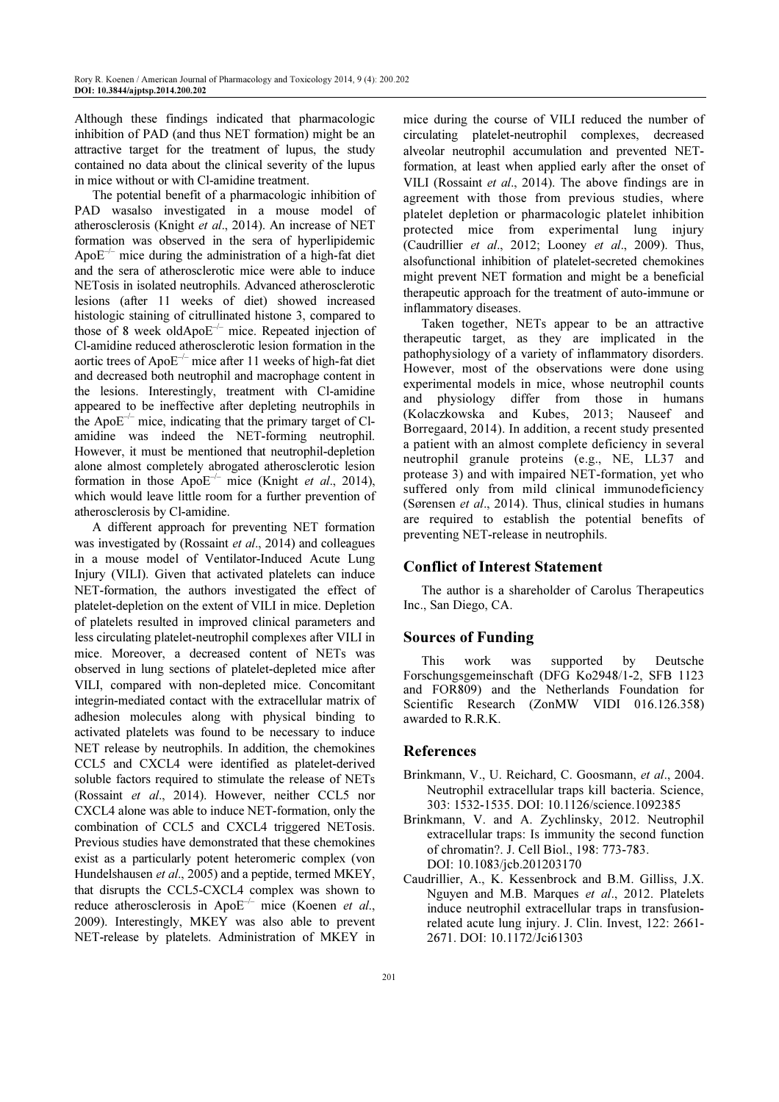Although these findings indicated that pharmacologic inhibition of PAD (and thus NET formation) might be an attractive target for the treatment of lupus, the study contained no data about the clinical severity of the lupus in mice without or with Cl-amidine treatment.

The potential benefit of a pharmacologic inhibition of PAD wasalso investigated in a mouse model of atherosclerosis (Knight et al., 2014). An increase of NET formation was observed in the sera of hyperlipidemic Apo $E^{-/-}$  mice during the administration of a high-fat diet and the sera of atherosclerotic mice were able to induce NETosis in isolated neutrophils. Advanced atherosclerotic lesions (after 11 weeks of diet) showed increased histologic staining of citrullinated histone 3, compared to those of 8 week oldApo $E^{-/-}$  mice. Repeated injection of Cl-amidine reduced atherosclerotic lesion formation in the aortic trees of Apo $E^{-/-}$  mice after 11 weeks of high-fat diet and decreased both neutrophil and macrophage content in the lesions. Interestingly, treatment with Cl-amidine appeared to be ineffective after depleting neutrophils in the Apo $E^{-/-}$  mice, indicating that the primary target of Clamidine was indeed the NET-forming neutrophil. However, it must be mentioned that neutrophil-depletion alone almost completely abrogated atherosclerotic lesion formation in those Apo $E^{-/-}$  mice (Knight *et al.*, 2014), which would leave little room for a further prevention of atherosclerosis by Cl-amidine.

A different approach for preventing NET formation was investigated by (Rossaint *et al.*, 2014) and colleagues in a mouse model of Ventilator-Induced Acute Lung Injury (VILI). Given that activated platelets can induce NET-formation, the authors investigated the effect of platelet-depletion on the extent of VILI in mice. Depletion of platelets resulted in improved clinical parameters and less circulating platelet-neutrophil complexes after VILI in mice. Moreover, a decreased content of NETs was observed in lung sections of platelet-depleted mice after VILI, compared with non-depleted mice. Concomitant integrin-mediated contact with the extracellular matrix of adhesion molecules along with physical binding to activated platelets was found to be necessary to induce NET release by neutrophils. In addition, the chemokines CCL5 and CXCL4 were identified as platelet-derived soluble factors required to stimulate the release of NETs (Rossaint et al., 2014). However, neither CCL5 nor CXCL4 alone was able to induce NET-formation, only the combination of CCL5 and CXCL4 triggered NETosis. Previous studies have demonstrated that these chemokines exist as a particularly potent heteromeric complex (von Hundelshausen et al., 2005) and a peptide, termed MKEY. that disrupts the CCL5-CXCL4 complex was shown to reduce atherosclerosis in Apo $E^{-/-}$  mice (Koenen et al., 2009). Interestingly, MKEY was also able to prevent NET-release by platelets. Administration of MKEY in

mice during the course of VILI reduced the number of circulating platelet-neutrophil complexes, decreased alveolar neutrophil accumulation and prevented NETformation, at least when applied early after the onset of VILI (Rossaint et al., 2014). The above findings are in agreement with those from previous studies, where platelet depletion or pharmacologic platelet inhibition protected mice from experimental lung injury (Caudrillier et al., 2012; Looney et al., 2009). Thus, alsofunctional inhibition of platelet-secreted chemokines might prevent NET formation and might be a beneficial therapeutic approach for the treatment of auto-immune or inflammatory diseases.

Taken together, NETs appear to be an attractive therapeutic target, as they are implicated in the pathophysiology of a variety of inflammatory disorders. However, most of the observations were done using experimental models in mice, whose neutrophil counts and physiology differ from those in humans (Kolaczkowska and Kubes, 2013; Nauseef and Borregaard, 2014). In addition, a recent study presented a patient with an almost complete deficiency in several neutrophil granule proteins (e.g., NE, LL37 and protease 3) and with impaired NET-formation, yet who suffered only from mild clinical immunodeficiency (Sørensen et al., 2014). Thus, clinical studies in humans are required to establish the potential benefits of preventing NET-release in neutrophils.

## Conflict of Interest Statement

The author is a shareholder of Carolus Therapeutics Inc., San Diego, CA.

#### Sources of Funding

This work was supported by Deutsche Forschungsgemeinschaft (DFG Ko2948/1-2, SFB 1123 and FOR809) and the Netherlands Foundation for Scientific Research (ZonMW VIDI 016.126.358) awarded to R.R.K.

#### References

- Brinkmann, V., U. Reichard, C. Goosmann, et al., 2004. Neutrophil extracellular traps kill bacteria. Science, 303: 1532-1535. DOI: 10.1126/science.1092385
- Brinkmann, V. and A. Zychlinsky, 2012. Neutrophil extracellular traps: Is immunity the second function of chromatin?. J. Cell Biol., 198: 773-783. DOI: 10.1083/jcb.201203170
- Caudrillier, A., K. Kessenbrock and B.M. Gilliss, J.X. Nguyen and M.B. Marques et al., 2012. Platelets induce neutrophil extracellular traps in transfusionrelated acute lung injury. J. Clin. Invest, 122: 2661- 2671. DOI: 10.1172/Jci61303